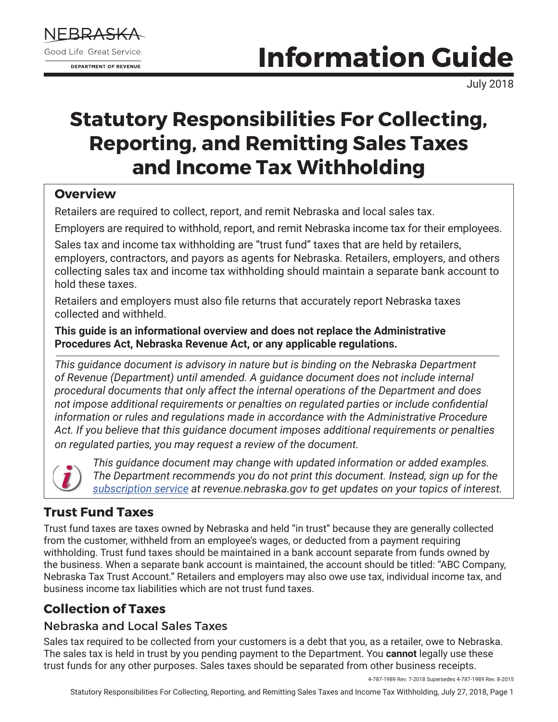

# **Information Guide**

July 2018

# **Statutory Responsibilities For Collecting, Reporting, and Remitting Sales Taxes and Income Tax Withholding**

### **Overview**

Retailers are required to collect, report, and remit Nebraska and local sales tax.

Employers are required to withhold, report, and remit Nebraska income tax for their employees.

Sales tax and income tax withholding are "trust fund" taxes that are held by retailers, employers, contractors, and payors as agents for Nebraska. Retailers, employers, and others collecting sales tax and income tax withholding should maintain a separate bank account to hold these taxes.

Retailers and employers must also file returns that accurately report Nebraska taxes collected and withheld.

**This guide is an informational overview and does not replace the Administrative Procedures Act, Nebraska Revenue Act, or any applicable regulations.**

*This guidance document is advisory in nature but is binding on the Nebraska Department of Revenue (Department) until amended. A guidance document does not include internal procedural documents that only affect the internal operations of the Department and does not impose additional requirements or penalties on regulated parties or include confidential information or rules and regulations made in accordance with the Administrative Procedure Act. If you believe that this guidance document imposes additional requirements or penalties on regulated parties, you may request a review of the document.*



*This guidance document may change with updated information or added examples. The Department recommends you do not print this document. Instead, sign up for the [subscription service](https://public.govdelivery.com/accounts/NEREV/subscriber/new) at revenue.nebraska.gov to get updates on your topics of interest.*

# **Trust Fund Taxes**

Trust fund taxes are taxes owned by Nebraska and held "in trust" because they are generally collected from the customer, withheld from an employee's wages, or deducted from a payment requiring withholding. Trust fund taxes should be maintained in a bank account separate from funds owned by the business. When a separate bank account is maintained, the account should be titled: "ABC Company, Nebraska Tax Trust Account." Retailers and employers may also owe use tax, individual income tax, and business income tax liabilities which are not trust fund taxes.

# **Collection of Taxes**

# Nebraska and Local Sales Taxes

Sales tax required to be collected from your customers is a debt that you, as a retailer, owe to Nebraska. The sales tax is held in trust by you pending payment to the Department. You **cannot** legally use these trust funds for any other purposes. Sales taxes should be separated from other business receipts.

4-787-1989 Rev. 7-2018 Supersedes 4-787-1989 Rev. 8-2015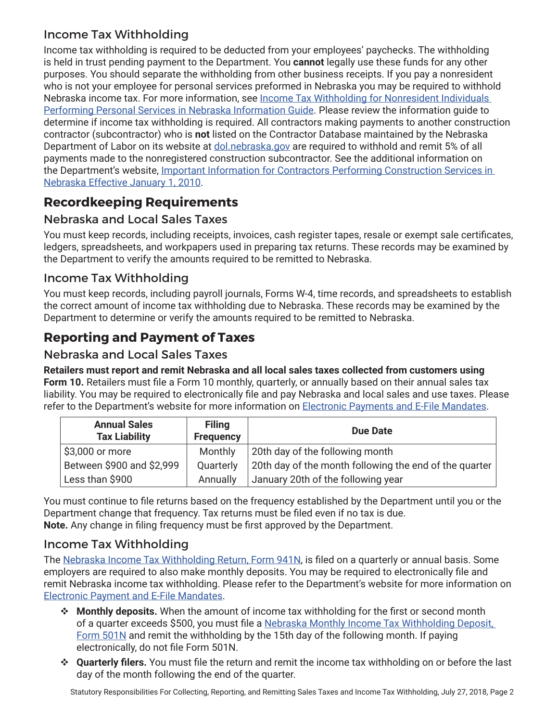### Income Tax Withholding

Income tax withholding is required to be deducted from your employees' paychecks. The withholding is held in trust pending payment to the Department. You **cannot** legally use these funds for any other purposes. You should separate the withholding from other business receipts. If you pay a nonresident who is not your employee for personal services preformed in Nebraska you may be required to withhold Nebraska income tax. For more information, see [Income Tax Withholding for Nonresident Individuals](http://www.revenue.nebraska.gov/info/8-515.pdf)  [Performing Personal Services in Nebraska Information Guide](http://www.revenue.nebraska.gov/info/8-515.pdf). Please review the information guide to determine if income tax withholding is required. All contractors making payments to another construction contractor (subcontractor) who is **not** listed on the Contractor Database maintained by the Nebraska Department of Labor on its website at [dol.nebraska.gov](https://dol.nebraska.gov/) are required to withhold and remit 5% of all payments made to the nonregistered construction subcontractor. See the additional information on the Department's website, Important Information for Contractors Performing Construction Services in [Nebraska Effective January 1, 2010](http://www.revenue.nebraska.gov/contractor_database.html).

# **Recordkeeping Requirements**

### Nebraska and Local Sales Taxes

You must keep records, including receipts, invoices, cash register tapes, resale or exempt sale certificates, ledgers, spreadsheets, and workpapers used in preparing tax returns. These records may be examined by the Department to verify the amounts required to be remitted to Nebraska.

#### Income Tax Withholding

You must keep records, including payroll journals, Forms W-4, time records, and spreadsheets to establish the correct amount of income tax withholding due to Nebraska. These records may be examined by the Department to determine or verify the amounts required to be remitted to Nebraska.

# **Reporting and Payment of Taxes**

#### Nebraska and Local Sales Taxes

**Retailers must report and remit Nebraska and all local sales taxes collected from customers using Form 10.** Retailers must file a Form 10 monthly, quarterly, or annually based on their annual sales tax liability. You may be required to electronically file and pay Nebraska and local sales and use taxes. Please refer to the Department's website for more information on **[Electronic Payments and E-File Mandates](http://www.revenue.nebraska.gov/electron/mandate_info.html)**.

| <b>Annual Sales</b><br><b>Tax Liability</b> | <b>Filing</b><br><b>Frequency</b> | <b>Due Date</b>                                        |
|---------------------------------------------|-----------------------------------|--------------------------------------------------------|
| $$3,000$ or more                            | Monthly                           | 20th day of the following month                        |
| Between \$900 and \$2,999                   | Quarterly                         | 20th day of the month following the end of the quarter |
| Less than \$900                             | Annually                          | January 20th of the following year                     |

You must continue to file returns based on the frequency established by the Department until you or the Department change that frequency. Tax returns must be filed even if no tax is due. **Note.** Any change in filing frequency must be first approved by the Department.

#### Income Tax Withholding

The [Nebraska Income Tax Withholding Return, Form 941N](http://www.revenue.nebraska.gov/tax/current/f_941n.pdf), is filed on a quarterly or annual basis. Some employers are required to also make monthly deposits. You may be required to electronically file and remit Nebraska income tax withholding. Please refer to the Department's website for more information on [Electronic Payment and E-File Mandates](http://www.revenue.nebraska.gov/electron/mandate_info.html).

- **<sup>❖</sup> Monthly deposits.** When the amount of income tax withholding for the first or second month of a quarter exceeds \$500, you must file a [Nebraska Monthly Income Tax Withholding Deposit,](http://www.revenue.nebraska.gov/tax/current/fill-in/f_501n.pdf)  [Form 501N](http://www.revenue.nebraska.gov/tax/current/fill-in/f_501n.pdf) and remit the withholding by the 15th day of the following month. If paying electronically, do not file Form 501N.
- v **Quarterly filers.** You must file the return and remit the income tax withholding on or before the last day of the month following the end of the quarter.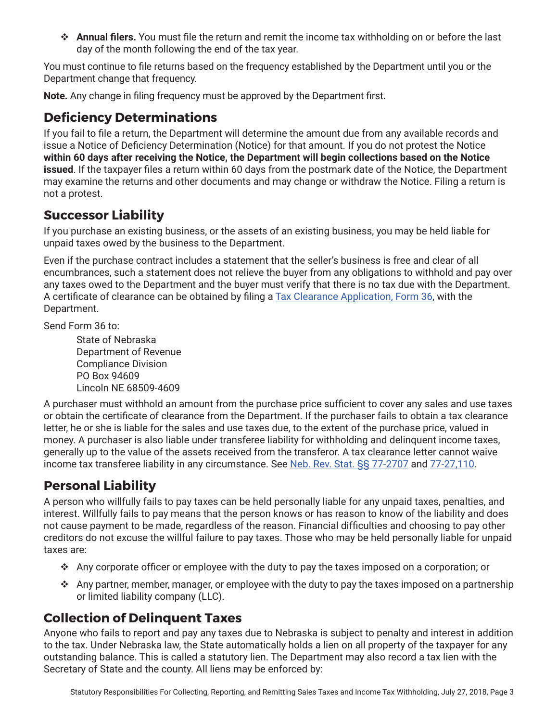**↑ Annual filers.** You must file the return and remit the income tax withholding on or before the last day of the month following the end of the tax year.

You must continue to file returns based on the frequency established by the Department until you or the Department change that frequency.

**Note.** Any change in filing frequency must be approved by the Department first.

## **Deficiency Determinations**

If you fail to file a return, the Department will determine the amount due from any available records and issue a Notice of Deficiency Determination (Notice) for that amount. If you do not protest the Notice **within 60 days after receiving the Notice, the Department will begin collections based on the Notice issued**. If the taxpayer files a return within 60 days from the postmark date of the Notice, the Department may examine the returns and other documents and may change or withdraw the Notice. Filing a return is not a protest.

# **Successor Liability**

If you purchase an existing business, or the assets of an existing business, you may be held liable for unpaid taxes owed by the business to the Department.

Even if the purchase contract includes a statement that the seller's business is free and clear of all encumbrances, such a statement does not relieve the buyer from any obligations to withhold and pay over any taxes owed to the Department and the buyer must verify that there is no tax due with the Department. A certificate of clearance can be obtained by filing a [Tax Clearance Application, Form 36](http://www.revenue.nebraska.gov/tax/current/fill-in/f_36.pdf), with the Department.

Send Form 36 to:

State of Nebraska Department of Revenue Compliance Division PO Box 94609 Lincoln NE 68509-4609

A purchaser must withhold an amount from the purchase price sufficient to cover any sales and use taxes or obtain the certificate of clearance from the Department. If the purchaser fails to obtain a tax clearance letter, he or she is liable for the sales and use taxes due, to the extent of the purchase price, valued in money. A purchaser is also liable under transferee liability for withholding and delinquent income taxes, generally up to the value of the assets received from the transferor. A tax clearance letter cannot waive income tax transferee liability in any circumstance. See [Neb. Rev. Stat. §§ 77-2707](https://nebraskalegislature.gov/laws/statutes.php?statute=77-2707) and [77-27,110.](https://nebraskalegislature.gov/laws/statutes.php?statute=77-27,110)

# **Personal Liability**

A person who willfully fails to pay taxes can be held personally liable for any unpaid taxes, penalties, and interest. Willfully fails to pay means that the person knows or has reason to know of the liability and does not cause payment to be made, regardless of the reason. Financial difficulties and choosing to pay other creditors do not excuse the willful failure to pay taxes. Those who may be held personally liable for unpaid taxes are:

- Any corporate officer or employee with the duty to pay the taxes imposed on a corporation; or
- $\cdot$  Any partner, member, manager, or employee with the duty to pay the taxes imposed on a partnership or limited liability company (LLC).

# **Collection of Delinquent Taxes**

Anyone who fails to report and pay any taxes due to Nebraska is subject to penalty and interest in addition to the tax. Under Nebraska law, the State automatically holds a lien on all property of the taxpayer for any outstanding balance. This is called a statutory lien. The Department may also record a tax lien with the Secretary of State and the county. All liens may be enforced by: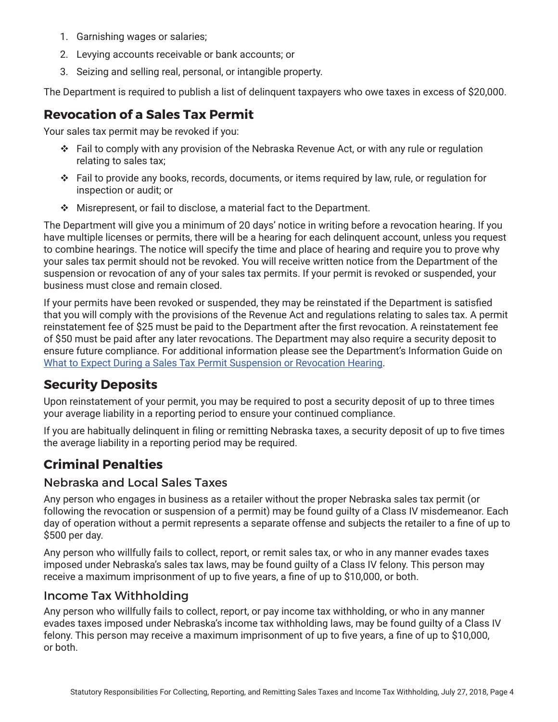- 1. Garnishing wages or salaries;
- 2. Levying accounts receivable or bank accounts; or
- 3. Seizing and selling real, personal, or intangible property.

The Department is required to publish a list of delinquent taxpayers who owe taxes in excess of \$20,000.

# **Revocation of a Sales Tax Permit**

Your sales tax permit may be revoked if you:

- $\div$  Fail to comply with any provision of the Nebraska Revenue Act, or with any rule or regulation relating to sales tax;
- $\cdot \cdot$  Fail to provide any books, records, documents, or items required by law, rule, or requlation for inspection or audit; or
- $\cdot$  Misrepresent, or fail to disclose, a material fact to the Department.

The Department will give you a minimum of 20 days' notice in writing before a revocation hearing. If you have multiple licenses or permits, there will be a hearing for each delinquent account, unless you request to combine hearings. The notice will specify the time and place of hearing and require you to prove why your sales tax permit should not be revoked. You will receive written notice from the Department of the suspension or revocation of any of your sales tax permits. If your permit is revoked or suspended, your business must close and remain closed.

If your permits have been revoked or suspended, they may be reinstated if the Department is satisfied that you will comply with the provisions of the Revenue Act and regulations relating to sales tax. A permit reinstatement fee of \$25 must be paid to the Department after the first revocation. A reinstatement fee of \$50 must be paid after any later revocations. The Department may also require a security deposit to ensure future compliance. For additional information please see the Department's Information Guide on [What to Expect During a Sales Tax Permit Suspension or Revocation Hearing.](http://www.revenue.nebraska.gov/info/7-308.pdf)

# **Security Deposits**

Upon reinstatement of your permit, you may be required to post a security deposit of up to three times your average liability in a reporting period to ensure your continued compliance.

If you are habitually delinquent in filing or remitting Nebraska taxes, a security deposit of up to five times the average liability in a reporting period may be required.

# **Criminal Penalties**

#### Nebraska and Local Sales Taxes

Any person who engages in business as a retailer without the proper Nebraska sales tax permit (or following the revocation or suspension of a permit) may be found guilty of a Class IV misdemeanor. Each day of operation without a permit represents a separate offense and subjects the retailer to a fine of up to \$500 per day.

Any person who willfully fails to collect, report, or remit sales tax, or who in any manner evades taxes imposed under Nebraska's sales tax laws, may be found guilty of a Class IV felony. This person may receive a maximum imprisonment of up to five years, a fine of up to \$10,000, or both.

#### Income Tax Withholding

Any person who willfully fails to collect, report, or pay income tax withholding, or who in any manner evades taxes imposed under Nebraska's income tax withholding laws, may be found guilty of a Class IV felony. This person may receive a maximum imprisonment of up to five years, a fine of up to \$10,000, or both.